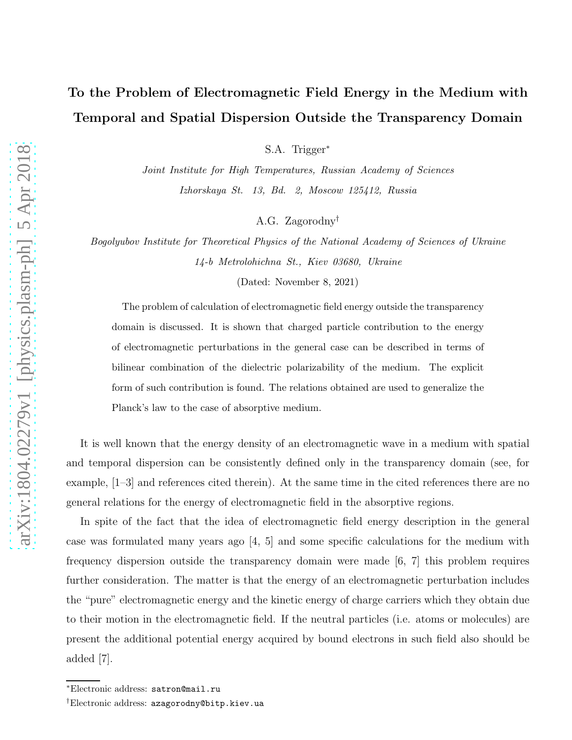## To the Problem of Electromagnetic Field Energy in the Medium with Temporal and Spatial Dispersion Outside the Transparency Domain

S.A. Trigger<sup>∗</sup>

Joint Institute for High Temperatures, Russian Academy of Sciences Izhorskaya St. 13, Bd. 2, Moscow 125412, Russia

A.G. Zagorodny†

Bogolyubov Institute for Theoretical Physics of the National Academy of Sciences of Ukraine 14-b Metrolohichna St., Kiev 03680, Ukraine

(Dated: November 8, 2021)

The problem of calculation of electromagnetic field energy outside the transparency domain is discussed. It is shown that charged particle contribution to the energy of electromagnetic perturbations in the general case can be described in terms of bilinear combination of the dielectric polarizability of the medium. The explicit form of such contribution is found. The relations obtained are used to generalize the Planck's law to the case of absorptive medium.

It is well known that the energy density of an electromagnetic wave in a medium with spatial and temporal dispersion can be consistently defined only in the transparency domain (see, for example, [1–3] and references cited therein). At the same time in the cited references there are no general relations for the energy of electromagnetic field in the absorptive regions.

In spite of the fact that the idea of electromagnetic field energy description in the general case was formulated many years ago [4, 5] and some specific calculations for the medium with frequency dispersion outside the transparency domain were made [6, 7] this problem requires further consideration. The matter is that the energy of an electromagnetic perturbation includes the "pure" electromagnetic energy and the kinetic energy of charge carriers which they obtain due to their motion in the electromagnetic field. If the neutral particles (i.e. atoms or molecules) are present the additional potential energy acquired by bound electrons in such field also should be added [7].

<sup>∗</sup>Electronic address: satron@mail.ru

<sup>†</sup>Electronic address: azagorodny@bitp.kiev.ua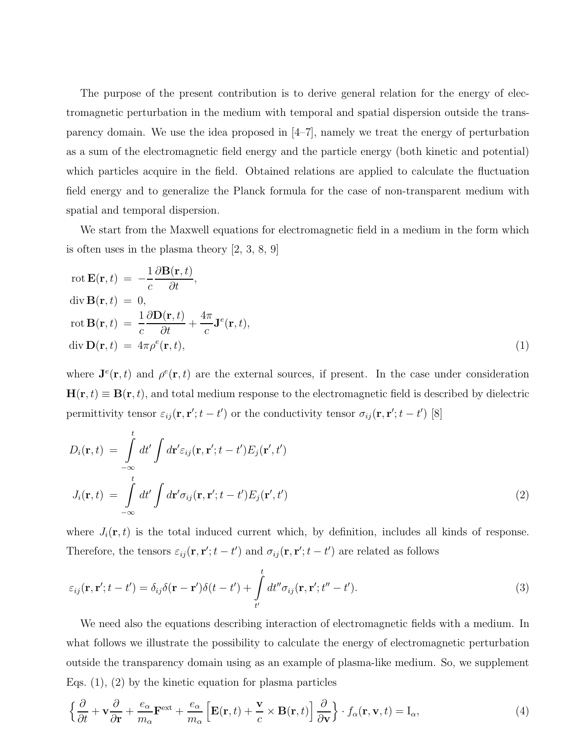The purpose of the present contribution is to derive general relation for the energy of electromagnetic perturbation in the medium with temporal and spatial dispersion outside the transparency domain. We use the idea proposed in [4–7], namely we treat the energy of perturbation as a sum of the electromagnetic field energy and the particle energy (both kinetic and potential) which particles acquire in the field. Obtained relations are applied to calculate the fluctuation field energy and to generalize the Planck formula for the case of non-transparent medium with spatial and temporal dispersion.

We start from the Maxwell equations for electromagnetic field in a medium in the form which is often uses in the plasma theory [2, 3, 8, 9]

$$
\begin{aligned}\n\text{rot } \mathbf{E}(\mathbf{r}, t) &= -\frac{1}{c} \frac{\partial \mathbf{B}(\mathbf{r}, t)}{\partial t}, \\
\text{div } \mathbf{B}(\mathbf{r}, t) &= 0, \\
\text{rot } \mathbf{B}(\mathbf{r}, t) &= \frac{1}{c} \frac{\partial \mathbf{D}(\mathbf{r}, t)}{\partial t} + \frac{4\pi}{c} \mathbf{J}^{e}(\mathbf{r}, t), \\
\text{div } \mathbf{D}(\mathbf{r}, t) &= 4\pi \rho^{e}(\mathbf{r}, t),\n\end{aligned} \tag{1}
$$

where  $J^e(r, t)$  and  $\rho^e(r, t)$  are the external sources, if present. In the case under consideration  $\mathbf{H}(\mathbf{r},t) \equiv \mathbf{B}(\mathbf{r},t)$ , and total medium response to the electromagnetic field is described by dielectric permittivity tensor  $\varepsilon_{ij}(\mathbf{r}, \mathbf{r}'; t - t')$  or the conductivity tensor  $\sigma_{ij}(\mathbf{r}, \mathbf{r}'; t - t')$  [8]

$$
D_i(\mathbf{r},t) = \int_{-\infty}^t dt' \int d\mathbf{r}' \varepsilon_{ij}(\mathbf{r},\mathbf{r}';t-t')E_j(\mathbf{r}',t')
$$
  

$$
J_i(\mathbf{r},t) = \int_{-\infty}^t dt' \int d\mathbf{r}' \sigma_{ij}(\mathbf{r},\mathbf{r}';t-t')E_j(\mathbf{r}',t')
$$
(2)

where  $J_i(\mathbf{r}, t)$  is the total induced current which, by definition, includes all kinds of response. Therefore, the tensors  $\varepsilon_{ij}(\mathbf{r}, \mathbf{r}'; t - t')$  and  $\sigma_{ij}(\mathbf{r}, \mathbf{r}'; t - t')$  are related as follows

$$
\varepsilon_{ij}(\mathbf{r}, \mathbf{r}'; t - t') = \delta_{ij}\delta(\mathbf{r} - \mathbf{r}')\delta(t - t') + \int_{t'}^{t} dt'' \sigma_{ij}(\mathbf{r}, \mathbf{r}'; t'' - t'). \tag{3}
$$

We need also the equations describing interaction of electromagnetic fields with a medium. In what follows we illustrate the possibility to calculate the energy of electromagnetic perturbation outside the transparency domain using as an example of plasma-like medium. So, we supplement Eqs.  $(1)$ ,  $(2)$  by the kinetic equation for plasma particles

$$
\left\{\frac{\partial}{\partial t} + \mathbf{v}\frac{\partial}{\partial \mathbf{r}} + \frac{e_{\alpha}}{m_{\alpha}}\mathbf{F}^{\text{ext}} + \frac{e_{\alpha}}{m_{\alpha}}\left[\mathbf{E}(\mathbf{r},t) + \frac{\mathbf{v}}{c} \times \mathbf{B}(\mathbf{r},t)\right]\frac{\partial}{\partial \mathbf{v}}\right\} \cdot f_{\alpha}(\mathbf{r},\mathbf{v},t) = \mathbf{I}_{\alpha},\tag{4}
$$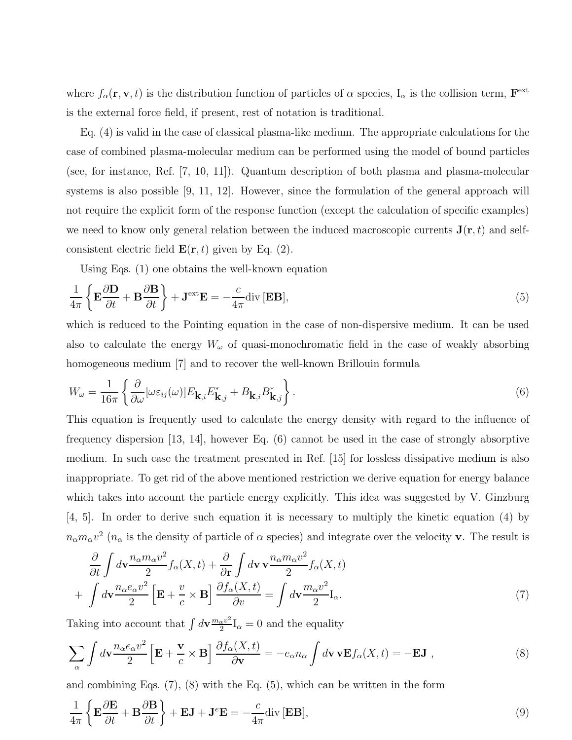where  $f_{\alpha}(\mathbf{r}, \mathbf{v}, t)$  is the distribution function of particles of  $\alpha$  species,  $I_{\alpha}$  is the collision term,  $\mathbf{F}^{\text{ext}}$ is the external force field, if present, rest of notation is traditional.

Eq. (4) is valid in the case of classical plasma-like medium. The appropriate calculations for the case of combined plasma-molecular medium can be performed using the model of bound particles (see, for instance, Ref. [7, 10, 11]). Quantum description of both plasma and plasma-molecular systems is also possible [9, 11, 12]. However, since the formulation of the general approach will not require the explicit form of the response function (except the calculation of specific examples) we need to know only general relation between the induced macroscopic currents  $J(r, t)$  and selfconsistent electric field  $\mathbf{E}(\mathbf{r},t)$  given by Eq. (2).

Using Eqs. (1) one obtains the well-known equation

$$
\frac{1}{4\pi} \left\{ \mathbf{E} \frac{\partial \mathbf{D}}{\partial t} + \mathbf{B} \frac{\partial \mathbf{B}}{\partial t} \right\} + \mathbf{J}^{\text{ext}} \mathbf{E} = -\frac{c}{4\pi} \text{div} \left[ \mathbf{E} \mathbf{B} \right],\tag{5}
$$

which is reduced to the Pointing equation in the case of non-dispersive medium. It can be used also to calculate the energy  $W_{\omega}$  of quasi-monochromatic field in the case of weakly absorbing homogeneous medium [7] and to recover the well-known Brillouin formula

$$
W_{\omega} = \frac{1}{16\pi} \left\{ \frac{\partial}{\partial \omega} [\omega \varepsilon_{ij}(\omega)] E_{\mathbf{k},i} E_{\mathbf{k},j}^* + B_{\mathbf{k},i} B_{\mathbf{k},j}^* \right\}.
$$
 (6)

This equation is frequently used to calculate the energy density with regard to the influence of frequency dispersion [13, 14], however Eq. (6) cannot be used in the case of strongly absorptive medium. In such case the treatment presented in Ref. [15] for lossless dissipative medium is also inappropriate. To get rid of the above mentioned restriction we derive equation for energy balance which takes into account the particle energy explicitly. This idea was suggested by V. Ginzburg [4, 5]. In order to derive such equation it is necessary to multiply the kinetic equation (4) by  $n_{\alpha}m_{\alpha}v^2$  ( $n_{\alpha}$  is the density of particle of  $\alpha$  species) and integrate over the velocity **v**. The result is

$$
\frac{\partial}{\partial t} \int d\mathbf{v} \frac{n_{\alpha} m_{\alpha} v^2}{2} f_{\alpha}(X, t) + \frac{\partial}{\partial \mathbf{r}} \int d\mathbf{v} \mathbf{v} \frac{n_{\alpha} m_{\alpha} v^2}{2} f_{\alpha}(X, t) \n+ \int d\mathbf{v} \frac{n_{\alpha} e_{\alpha} v^2}{2} \left[ \mathbf{E} + \frac{v}{c} \times \mathbf{B} \right] \frac{\partial f_{\alpha}(X, t)}{\partial v} = \int d\mathbf{v} \frac{m_{\alpha} v^2}{2} I_{\alpha}.
$$
\n(7)

Taking into account that  $\int d\mathbf{v} \frac{m_{\alpha}v^2}{2}$  $\frac{\alpha v^2}{2}I_\alpha = 0$  and the equality

$$
\sum_{\alpha} \int d\mathbf{v} \frac{n_{\alpha} e_{\alpha} v^2}{2} \left[ \mathbf{E} + \frac{\mathbf{v}}{c} \times \mathbf{B} \right] \frac{\partial f_{\alpha}(X, t)}{\partial \mathbf{v}} = -e_{\alpha} n_{\alpha} \int d\mathbf{v} \, \mathbf{v} \mathbf{E} f_{\alpha}(X, t) = -\mathbf{E} \mathbf{J} \;, \tag{8}
$$

and combining Eqs. (7), (8) with the Eq. (5), which can be written in the form

$$
\frac{1}{4\pi} \left\{ \mathbf{E} \frac{\partial \mathbf{E}}{\partial t} + \mathbf{B} \frac{\partial \mathbf{B}}{\partial t} \right\} + \mathbf{E} \mathbf{J} + \mathbf{J}^e \mathbf{E} = -\frac{c}{4\pi} \text{div} \left[ \mathbf{E} \mathbf{B} \right],\tag{9}
$$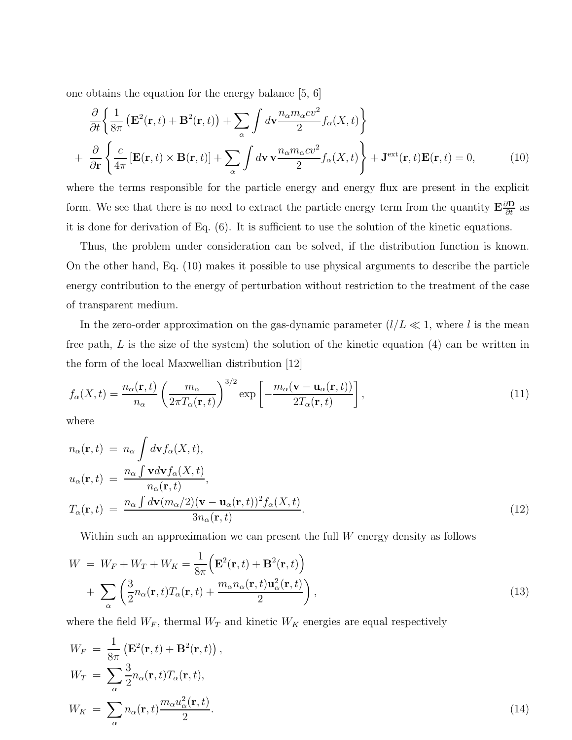one obtains the equation for the energy balance [5, 6]

$$
\frac{\partial}{\partial t} \left\{ \frac{1}{8\pi} \left( \mathbf{E}^2(\mathbf{r}, t) + \mathbf{B}^2(\mathbf{r}, t) \right) + \sum_{\alpha} \int d\mathbf{v} \frac{n_{\alpha} m_{\alpha} c v^2}{2} f_{\alpha}(X, t) \right\} \n+ \frac{\partial}{\partial \mathbf{r}} \left\{ \frac{c}{4\pi} \left[ \mathbf{E}(\mathbf{r}, t) \times \mathbf{B}(\mathbf{r}, t) \right] + \sum_{\alpha} \int d\mathbf{v} \, \mathbf{v} \frac{n_{\alpha} m_{\alpha} c v^2}{2} f_{\alpha}(X, t) \right\} + \mathbf{J}^{\text{ext}}(\mathbf{r}, t) \mathbf{E}(\mathbf{r}, t) = 0,
$$
\n(10)

where the terms responsible for the particle energy and energy flux are present in the explicit form. We see that there is no need to extract the particle energy term from the quantity  $\mathbf{E}\frac{\partial \mathbf{D}}{\partial t}$  as it is done for derivation of Eq. (6). It is sufficient to use the solution of the kinetic equations.

Thus, the problem under consideration can be solved, if the distribution function is known. On the other hand, Eq. (10) makes it possible to use physical arguments to describe the particle energy contribution to the energy of perturbation without restriction to the treatment of the case of transparent medium.

In the zero-order approximation on the gas-dynamic parameter  $(l/L \ll 1$ , where l is the mean free path,  $L$  is the size of the system) the solution of the kinetic equation  $(4)$  can be written in the form of the local Maxwellian distribution [12]

$$
f_{\alpha}(X,t) = \frac{n_{\alpha}(\mathbf{r},t)}{n_{\alpha}} \left(\frac{m_{\alpha}}{2\pi T_{\alpha}(\mathbf{r},t)}\right)^{3/2} \exp\left[-\frac{m_{\alpha}(\mathbf{v}-\mathbf{u}_{\alpha}(\mathbf{r},t))}{2T_{\alpha}(\mathbf{r},t)}\right],
$$
\n(11)

where

$$
n_{\alpha}(\mathbf{r},t) = n_{\alpha} \int d\mathbf{v} f_{\alpha}(X,t),
$$
  
\n
$$
u_{\alpha}(\mathbf{r},t) = \frac{n_{\alpha} \int \mathbf{v} d\mathbf{v} f_{\alpha}(X,t)}{n_{\alpha}(\mathbf{r},t)},
$$
  
\n
$$
T_{\alpha}(\mathbf{r},t) = \frac{n_{\alpha} \int d\mathbf{v} (m_{\alpha}/2) (\mathbf{v} - \mathbf{u}_{\alpha}(\mathbf{r},t))^2 f_{\alpha}(X,t)}{3n_{\alpha}(\mathbf{r},t)}.
$$
\n(12)

Within such an approximation we can present the full  $W$  energy density as follows

$$
W = W_F + W_T + W_K = \frac{1}{8\pi} \left( \mathbf{E}^2(\mathbf{r}, t) + \mathbf{B}^2(\mathbf{r}, t) \right)
$$
  
+ 
$$
\sum_{\alpha} \left( \frac{3}{2} n_{\alpha}(\mathbf{r}, t) T_{\alpha}(\mathbf{r}, t) + \frac{m_{\alpha} n_{\alpha}(\mathbf{r}, t) \mathbf{u}_{\alpha}^2(\mathbf{r}, t)}{2} \right),
$$
 (13)

where the field  $W_F$ , thermal  $W_T$  and kinetic  $W_K$  energies are equal respectively

$$
W_F = \frac{1}{8\pi} \left( \mathbf{E}^2(\mathbf{r}, t) + \mathbf{B}^2(\mathbf{r}, t) \right),
$$
  
\n
$$
W_T = \sum_{\alpha} \frac{3}{2} n_{\alpha}(\mathbf{r}, t) T_{\alpha}(\mathbf{r}, t),
$$
  
\n
$$
W_K = \sum_{\alpha} n_{\alpha}(\mathbf{r}, t) \frac{m_{\alpha} u_{\alpha}^2(\mathbf{r}, t)}{2}.
$$
\n(14)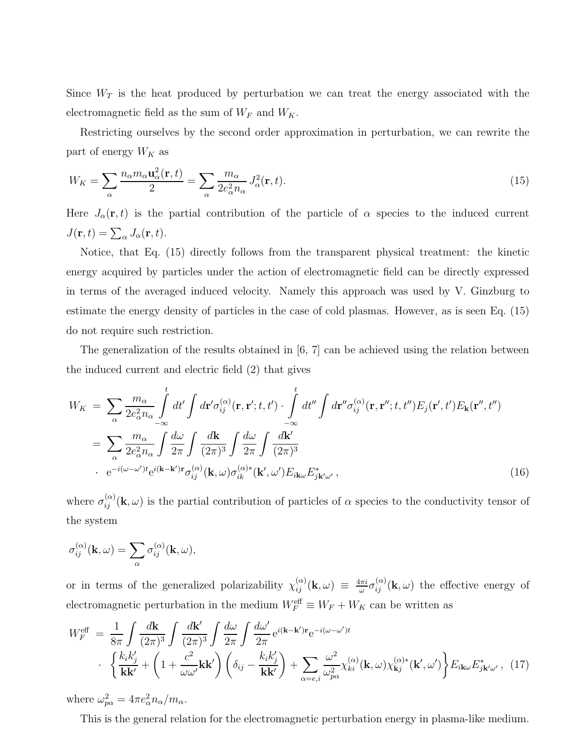Since  $W_T$  is the heat produced by perturbation we can treat the energy associated with the electromagnetic field as the sum of  $W_F$  and  $W_K$ .

Restricting ourselves by the second order approximation in perturbation, we can rewrite the part of energy  $W_K$  as

$$
W_K = \sum_{\alpha} \frac{n_{\alpha} m_{\alpha} \mathbf{u}_{\alpha}^2(\mathbf{r}, t)}{2} = \sum_{\alpha} \frac{m_{\alpha}}{2e_{\alpha}^2 n_{\alpha}} J_{\alpha}^2(\mathbf{r}, t). \tag{15}
$$

Here  $J_{\alpha}(\mathbf{r},t)$  is the partial contribution of the particle of  $\alpha$  species to the induced current  $J(\mathbf{r},t)=\sum_{\alpha}J_{\alpha}(\mathbf{r},t).$ 

Notice, that Eq. (15) directly follows from the transparent physical treatment: the kinetic energy acquired by particles under the action of electromagnetic field can be directly expressed in terms of the averaged induced velocity. Namely this approach was used by V. Ginzburg to estimate the energy density of particles in the case of cold plasmas. However, as is seen Eq. (15) do not require such restriction.

The generalization of the results obtained in [6, 7] can be achieved using the relation between the induced current and electric field (2) that gives

$$
W_K = \sum_{\alpha} \frac{m_{\alpha}}{2e_{\alpha}^2 n_{\alpha}} \int_{-\infty}^t dt' \int d\mathbf{r}' \sigma_{ij}^{(\alpha)}(\mathbf{r}, \mathbf{r}'; t, t') \cdot \int_{-\infty}^t dt'' \int d\mathbf{r}'' \sigma_{ij}^{(\alpha)}(\mathbf{r}, \mathbf{r}''; t, t'') E_j(\mathbf{r}', t') E_k(\mathbf{r}'', t'')
$$
  
\n
$$
= \sum_{\alpha} \frac{m_{\alpha}}{2e_{\alpha}^2 n_{\alpha}} \int \frac{d\omega}{2\pi} \int \frac{d\mathbf{k}}{(2\pi)^3} \int \frac{d\omega}{2\pi} \int \frac{d\mathbf{k}'}{(2\pi)^3}
$$
  
\n
$$
e^{-i(\omega - \omega')t} e^{i(\mathbf{k} - \mathbf{k}')\mathbf{r}} \sigma_{ij}^{(\alpha)}(\mathbf{k}, \omega) \sigma_{ik}^{(\alpha)*}(\mathbf{k}', \omega') E_{i\mathbf{k}\omega} E_{jk'\omega'}^*,
$$
 (16)

where  $\sigma_{ij}^{(\alpha)}(\mathbf{k},\omega)$  is the partial contribution of particles of  $\alpha$  species to the conductivity tensor of the system

$$
\sigma_{ij}^{(\alpha)}({\bf k},\omega)=\sum_{\alpha}\sigma_{ij}^{(\alpha)}({\bf k},\omega),
$$

or in terms of the generalized polarizability  $\chi_{ij}^{(\alpha)}(\mathbf{k},\omega) \equiv \frac{4\pi i}{\omega}$  $\frac{\partial \pi i}{\partial \omega} \sigma_{ij}^{(\alpha)}(\mathbf{k}, \omega)$  the effective energy of electromagnetic perturbation in the medium  $W_F^{\text{eff}} \equiv W_F + W_K$  can be written as

$$
W_{F}^{\text{eff}} = \frac{1}{8\pi} \int \frac{d\mathbf{k}}{(2\pi)^{3}} \int \frac{d\mathbf{k}'}{(2\pi)^{3}} \int \frac{d\omega}{2\pi} \int \frac{d\omega'}{2\pi} e^{i(\mathbf{k} - \mathbf{k}')\mathbf{r}} e^{-i(\omega - \omega')t}
$$

$$
\cdot \left\{ \frac{k_{i}k'_{j}}{\mathbf{k}\mathbf{k}'} + \left( 1 + \frac{c^{2}}{\omega\omega'}\mathbf{k}\mathbf{k}' \right) \left( \delta_{ij} - \frac{k_{i}k'_{j}}{\mathbf{k}\mathbf{k}'} \right) + \sum_{\alpha = e,i} \frac{\omega^{2}}{\omega_{p\alpha}^{2}} \chi_{ki}^{(\alpha)}(\mathbf{k}, \omega) \chi_{\mathbf{k}j}^{(\alpha)*}(\mathbf{k}', \omega') \right\} E_{i\mathbf{k}\omega} E_{j\mathbf{k}'\omega'}^{*}, (17)
$$

where  $\omega_{p\alpha}^2 = 4\pi e_{\alpha}^2 n_{\alpha}/m_{\alpha}$ .

This is the general relation for the electromagnetic perturbation energy in plasma-like medium.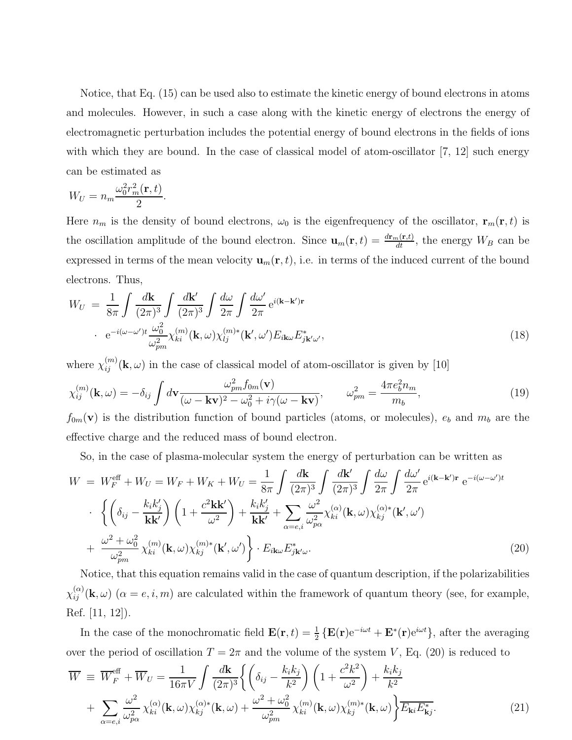Notice, that Eq. (15) can be used also to estimate the kinetic energy of bound electrons in atoms and molecules. However, in such a case along with the kinetic energy of electrons the energy of electromagnetic perturbation includes the potential energy of bound electrons in the fields of ions with which they are bound. In the case of classical model of atom-oscillator  $(7, 12)$  such energy can be estimated as

$$
W_U = n_m \frac{\omega_0^2 r_m^2(\mathbf{r}, t)}{2}.
$$

Here  $n_m$  is the density of bound electrons,  $\omega_0$  is the eigenfrequency of the oscillator,  $\mathbf{r}_m(\mathbf{r}, t)$  is the oscillation amplitude of the bound electron. Since  $\mathbf{u}_m(\mathbf{r},t) = \frac{d\mathbf{r}_m(\mathbf{r},t)}{dt}$ , the energy  $W_B$  can be expressed in terms of the mean velocity  $\mathbf{u}_m(\mathbf{r}, t)$ , i.e. in terms of the induced current of the bound electrons. Thus,

$$
W_U = \frac{1}{8\pi} \int \frac{d\mathbf{k}}{(2\pi)^3} \int \frac{d\mathbf{k}'}{(2\pi)^3} \int \frac{d\omega}{2\pi} \int \frac{d\omega'}{2\pi} e^{i(\mathbf{k} - \mathbf{k}')\mathbf{r}}
$$

$$
e^{-i(\omega - \omega')t} \frac{\omega_0^2}{\omega_{pm}^2} \chi_{ki}^{(m)}(\mathbf{k}, \omega) \chi_{lj}^{(m)*}(\mathbf{k}', \omega') E_{i\mathbf{k}\omega} E_{j\mathbf{k}'\omega'}^*,
$$
(18)

where  $\chi_{ij}^{(m)}(\mathbf{k}, \omega)$  in the case of classical model of atom-oscillator is given by [10]

$$
\chi_{ij}^{(m)}(\mathbf{k},\omega) = -\delta_{ij} \int d\mathbf{v} \frac{\omega_{pm}^2 f_{0m}(\mathbf{v})}{(\omega - \mathbf{k}\mathbf{v})^2 - \omega_0^2 + i\gamma(\omega - \mathbf{k}\mathbf{v})}, \qquad \omega_{pm}^2 = \frac{4\pi e_b^2 n_m}{m_b},\tag{19}
$$

 $f_{0m}(\mathbf{v})$  is the distribution function of bound particles (atoms, or molecules),  $e_b$  and  $m_b$  are the effective charge and the reduced mass of bound electron.

So, in the case of plasma-molecular system the energy of perturbation can be written as

$$
W = W_F^{\text{eff}} + W_U = W_F + W_K + W_U = \frac{1}{8\pi} \int \frac{d\mathbf{k}}{(2\pi)^3} \int \frac{d\mathbf{k}'}{(2\pi)^3} \int \frac{d\omega}{2\pi} \int \frac{d\omega'}{2\pi} e^{i(\mathbf{k} - \mathbf{k}')\mathbf{r}} e^{-i(\omega - \omega')t}
$$
  

$$
\cdot \left\{ \left( \delta_{ij} - \frac{k_i k'_j}{\mathbf{k}'} \right) \left( 1 + \frac{c^2 \mathbf{k} \mathbf{k}'}{\omega^2} \right) + \frac{k_i k'_j}{\mathbf{k} \mathbf{k}'} + \sum_{\alpha = e,i} \frac{\omega^2}{\omega_{p\alpha}^2} \chi_{ki}^{(\alpha)}(\mathbf{k}, \omega) \chi_{kj}^{(\alpha)*}(\mathbf{k}', \omega')
$$
  

$$
+ \frac{\omega^2 + \omega_0^2}{\omega_{pm}^2} \chi_{ki}^{(m)}(\mathbf{k}, \omega) \chi_{kj}^{(m)*}(\mathbf{k}', \omega') \right\} \cdot E_{i\mathbf{k}\omega} E_{j\mathbf{k}'\omega}^*.
$$
 (20)

Notice, that this equation remains valid in the case of quantum description, if the polarizabilities  $\chi_{ij}^{(\alpha)}(\mathbf{k},\omega)$   $(\alpha=e,i,m)$  are calculated within the framework of quantum theory (see, for example, Ref. [11, 12]).

In the case of the monochromatic field  $\mathbf{E}(\mathbf{r},t) = \frac{1}{2} \{ \mathbf{E}(\mathbf{r})e^{-i\omega t} + \mathbf{E}^*(\mathbf{r})e^{i\omega t} \}$ , after the averaging over the period of oscillation  $T = 2\pi$  and the volume of the system V, Eq. (20) is reduced to

$$
\overline{W} \equiv \overline{W}_{F}^{\text{eff}} + \overline{W}_{U} = \frac{1}{16\pi V} \int \frac{d\mathbf{k}}{(2\pi)^{3}} \left\{ \left( \delta_{ij} - \frac{k_{i}k_{j}}{k^{2}} \right) \left( 1 + \frac{c^{2}k^{2}}{\omega^{2}} \right) + \frac{k_{i}k_{j}}{k^{2}} \right. \right.
$$
\n
$$
+ \sum_{\alpha = e,i} \frac{\omega^{2}}{\omega_{p\alpha}^{2}} \chi_{ki}^{(\alpha)}(\mathbf{k}, \omega) \chi_{kj}^{(\alpha)*}(\mathbf{k}, \omega) + \frac{\omega^{2} + \omega_{0}^{2}}{\omega_{pm}^{2}} \chi_{ki}^{(m)}(\mathbf{k}, \omega) \chi_{kj}^{(m)*}(\mathbf{k}, \omega) \right\} \overline{E_{\mathbf{k}i} E_{\mathbf{k}j}^{*}}.
$$
\n(21)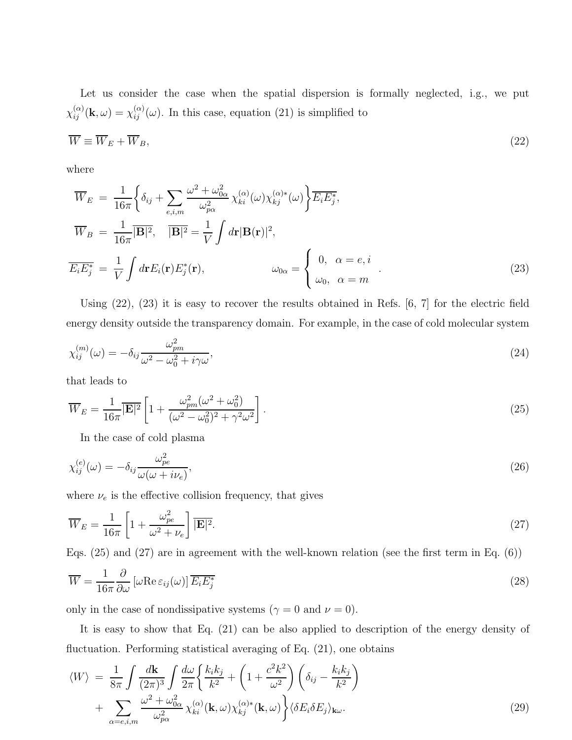Let us consider the case when the spatial dispersion is formally neglected, i.g., we put  $\chi_{ij}^{(\alpha)}(\mathbf{k},\omega) = \chi_{ij}^{(\alpha)}(\omega)$ . In this case, equation (21) is simplified to

$$
\overline{W} \equiv \overline{W}_E + \overline{W}_B,\tag{22}
$$

where

$$
\overline{W}_{E} = \frac{1}{16\pi} \left\{ \delta_{ij} + \sum_{e,i,m} \frac{\omega^{2} + \omega_{0\alpha}^{2}}{\omega_{p\alpha}^{2}} \chi_{ki}^{(\alpha)}(\omega) \chi_{kj}^{(\alpha)*}(\omega) \right\} \overline{E_{i}E_{j}^{*}},
$$
\n
$$
\overline{W}_{B} = \frac{1}{16\pi} |\overline{B}|^{2}, \quad |\overline{B}|^{2} = \frac{1}{V} \int d\mathbf{r} |\mathbf{B}(\mathbf{r})|^{2},
$$
\n
$$
\overline{E_{i}E_{j}^{*}} = \frac{1}{V} \int d\mathbf{r} E_{i}(\mathbf{r}) E_{j}^{*}(\mathbf{r}), \qquad \omega_{0\alpha} = \begin{cases} 0, & \alpha = e, i \\ \omega_{0}, & \alpha = m \end{cases}.
$$
\n(23)

Using (22), (23) it is easy to recover the results obtained in Refs. [6, 7] for the electric field energy density outside the transparency domain. For example, in the case of cold molecular system

$$
\chi_{ij}^{(m)}(\omega) = -\delta_{ij}\frac{\omega_{pm}^2}{\omega^2 - \omega_0^2 + i\gamma\omega},\tag{24}
$$

that leads to

$$
\overline{W}_E = \frac{1}{16\pi} \overline{|\mathbf{E}|^2} \left[ 1 + \frac{\omega_{pm}^2(\omega^2 + \omega_0^2)}{(\omega^2 - \omega_0^2)^2 + \gamma^2 \omega^2} \right].
$$
\n(25)

In the case of cold plasma

$$
\chi_{ij}^{(e)}(\omega) = -\delta_{ij} \frac{\omega_{pe}^2}{\omega(\omega + i\nu_e)},\tag{26}
$$

where  $\nu_e$  is the effective collision frequency, that gives

$$
\overline{W}_E = \frac{1}{16\pi} \left[ 1 + \frac{\omega_{pe}^2}{\omega^2 + \nu_e} \right] \overline{|\mathbf{E}|^2}.
$$
\n(27)

Eqs. (25) and (27) are in agreement with the well-known relation (see the first term in Eq. (6))

$$
\overline{W} = \frac{1}{16\pi} \frac{\partial}{\partial \omega} \left[ \omega \text{Re} \,\varepsilon_{ij}(\omega) \right] \overline{E_i E_j^*}
$$
\n(28)

only in the case of nondissipative systems ( $\gamma = 0$  and  $\nu = 0$ ).

It is easy to show that Eq. (21) can be also applied to description of the energy density of fluctuation. Performing statistical averaging of Eq. (21), one obtains

$$
\langle W \rangle = \frac{1}{8\pi} \int \frac{d\mathbf{k}}{(2\pi)^3} \int \frac{d\omega}{2\pi} \left\{ \frac{k_i k_j}{k^2} + \left( 1 + \frac{c^2 k^2}{\omega^2} \right) \left( \delta_{ij} - \frac{k_i k_j}{k^2} \right) \right. \\ \left. + \sum_{\alpha = e, i, m} \frac{\omega^2 + \omega_{0\alpha}^2}{\omega_{p\alpha}^2} \chi_{ki}^{(\alpha)}(\mathbf{k}, \omega) \chi_{kj}^{(\alpha)*}(\mathbf{k}, \omega) \right\} \langle \delta E_i \delta E_j \rangle_{\mathbf{k}\omega}.
$$
 (29)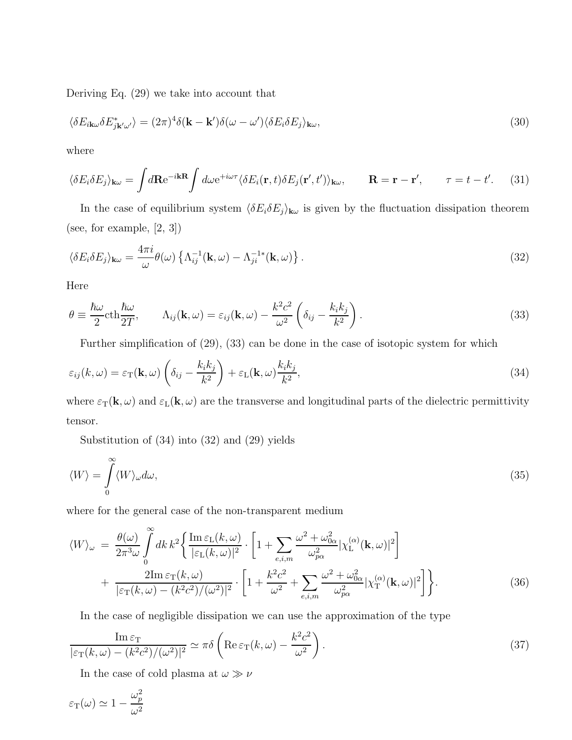Deriving Eq. (29) we take into account that

$$
\langle \delta E_{i\mathbf{k}\omega} \delta E_{j\mathbf{k}'\omega'}^* \rangle = (2\pi)^4 \delta(\mathbf{k} - \mathbf{k}') \delta(\omega - \omega') \langle \delta E_i \delta E_j \rangle_{\mathbf{k}\omega},\tag{30}
$$

where

$$
\langle \delta E_i \delta E_j \rangle_{\mathbf{k}\omega} = \int d\mathbf{R} e^{-i\mathbf{k}\mathbf{R}} \int d\omega e^{+i\omega\tau} \langle \delta E_i(\mathbf{r}, t) \delta E_j(\mathbf{r}', t') \rangle_{\mathbf{k}\omega}, \qquad \mathbf{R} = \mathbf{r} - \mathbf{r}', \qquad \tau = t - t'. \tag{31}
$$

In the case of equilibrium system  $\langle \delta E_i \delta E_j \rangle_{\mathbf{k}\omega}$  is given by the fluctuation dissipation theorem (see, for example, [2, 3])

$$
\langle \delta E_i \delta E_j \rangle_{\mathbf{k}\omega} = \frac{4\pi i}{\omega} \theta(\omega) \left\{ \Lambda_{ij}^{-1}(\mathbf{k}, \omega) - \Lambda_{ji}^{-1*}(\mathbf{k}, \omega) \right\}.
$$
 (32)

Here

$$
\theta \equiv \frac{\hbar\omega}{2} \text{cth} \frac{\hbar\omega}{2T}, \qquad \Lambda_{ij}(\mathbf{k}, \omega) = \varepsilon_{ij}(\mathbf{k}, \omega) - \frac{k^2 c^2}{\omega^2} \left(\delta_{ij} - \frac{k_i k_j}{k^2}\right). \tag{33}
$$

Further simplification of (29), (33) can be done in the case of isotopic system for which

$$
\varepsilon_{ij}(k,\omega) = \varepsilon_{\rm T}(\mathbf{k},\omega) \left(\delta_{ij} - \frac{k_i k_j}{k^2}\right) + \varepsilon_{\rm L}(\mathbf{k},\omega) \frac{k_i k_j}{k^2},\tag{34}
$$

where  $\varepsilon_{\rm T}({\bf k},\omega)$  and  $\varepsilon_{\rm L}({\bf k},\omega)$  are the transverse and longitudinal parts of the dielectric permittivity tensor.

Substitution of (34) into (32) and (29) yields

$$
\langle W \rangle = \int_{0}^{\infty} \langle W \rangle_{\omega} d\omega, \tag{35}
$$

where for the general case of the non-transparent medium

$$
\langle W \rangle_{\omega} = \frac{\theta(\omega)}{2\pi^3 \omega} \int_{0}^{\infty} dk \, k^2 \Big\{ \frac{\text{Im} \, \varepsilon_{\text{L}}(k,\omega)}{|\varepsilon_{\text{L}}(k,\omega)|^2} \cdot \left[ 1 + \sum_{e,i,m} \frac{\omega^2 + \omega_{0\alpha}^2}{\omega_{p\alpha}^2} |\chi_{\text{L}}^{(\alpha)}(\mathbf{k},\omega)|^2 \right] + \frac{2 \text{Im} \, \varepsilon_{\text{T}}(k,\omega)}{|\varepsilon_{\text{T}}(k,\omega) - (k^2 c^2) / (\omega^2)|^2} \cdot \left[ 1 + \frac{k^2 c^2}{\omega^2} + \sum_{e,i,m} \frac{\omega^2 + \omega_{0\alpha}^2}{\omega_{p\alpha}^2} |\chi_{\text{T}}^{(\alpha)}(\mathbf{k},\omega)|^2 \right] \Big\}.
$$
 (36)

In the case of negligible dissipation we can use the approximation of the type

$$
\frac{\operatorname{Im}\varepsilon_{\mathrm{T}}}{|\varepsilon_{\mathrm{T}}(k,\omega) - (k^2 c^2)/(\omega^2)|^2} \simeq \pi \delta \left( \operatorname{Re}\varepsilon_{\mathrm{T}}(k,\omega) - \frac{k^2 c^2}{\omega^2} \right). \tag{37}
$$

In the case of cold plasma at  $\omega \gg \nu$ 

$$
\varepsilon_{\rm T}(\omega) \simeq 1 - \frac{\omega_p^2}{\omega^2}
$$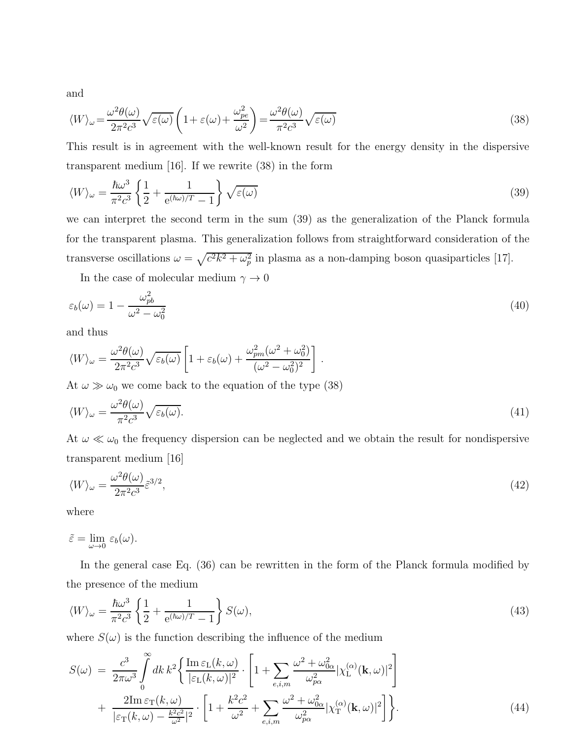and

$$
\langle W \rangle_{\omega} = \frac{\omega^2 \theta(\omega)}{2\pi^2 c^3} \sqrt{\varepsilon(\omega)} \left( 1 + \varepsilon(\omega) + \frac{\omega_{pe}^2}{\omega^2} \right) = \frac{\omega^2 \theta(\omega)}{\pi^2 c^3} \sqrt{\varepsilon(\omega)} \tag{38}
$$

This result is in agreement with the well-known result for the energy density in the dispersive transparent medium [16]. If we rewrite (38) in the form

$$
\langle W \rangle_{\omega} = \frac{\hbar \omega^3}{\pi^2 c^3} \left\{ \frac{1}{2} + \frac{1}{e^{(\hbar \omega)/T} - 1} \right\} \sqrt{\varepsilon(\omega)} \tag{39}
$$

we can interpret the second term in the sum (39) as the generalization of the Planck formula for the transparent plasma. This generalization follows from straightforward consideration of the transverse oscillations  $\omega = \sqrt{c^2 k^2 + \omega_p^2}$  in plasma as a non-damping boson quasiparticles [17].

In the case of molecular medium  $\gamma \to 0$ 

$$
\varepsilon_b(\omega) = 1 - \frac{\omega_{pb}^2}{\omega^2 - \omega_0^2} \tag{40}
$$

and thus

$$
\langle W \rangle_{\omega} = \frac{\omega^2 \theta(\omega)}{2\pi^2 c^3} \sqrt{\varepsilon_b(\omega)} \left[ 1 + \varepsilon_b(\omega) + \frac{\omega_{pm}^2(\omega^2 + \omega_0^2)}{(\omega^2 - \omega_0^2)^2} \right].
$$

At  $\omega \gg \omega_0$  we come back to the equation of the type (38)

$$
\langle W \rangle_{\omega} = \frac{\omega^2 \theta(\omega)}{\pi^2 c^3} \sqrt{\varepsilon_b(\omega)}.
$$
\n(41)

At  $\omega \ll \omega_0$  the frequency dispersion can be neglected and we obtain the result for nondispersive transparent medium [16]

$$
\langle W \rangle_{\omega} = \frac{\omega^2 \theta(\omega)}{2\pi^2 c^3} \tilde{\varepsilon}^{3/2},\tag{42}
$$

where

$$
\tilde{\varepsilon} = \lim_{\omega \to 0} \varepsilon_b(\omega).
$$

In the general case Eq. (36) can be rewritten in the form of the Planck formula modified by the presence of the medium

$$
\langle W \rangle_{\omega} = \frac{\hbar \omega^3}{\pi^2 c^3} \left\{ \frac{1}{2} + \frac{1}{e^{(\hbar \omega)/T} - 1} \right\} S(\omega),\tag{43}
$$

where  $S(\omega)$  is the function describing the influence of the medium

$$
S(\omega) = \frac{c^3}{2\pi\omega^3} \int_0^{\infty} dk \, k^2 \bigg\{ \frac{\text{Im}\,\varepsilon_{\text{L}}(k,\omega)}{|\varepsilon_{\text{L}}(k,\omega)|^2} \cdot \bigg[ 1 + \sum_{e,i,m} \frac{\omega^2 + \omega_{0\alpha}^2}{\omega_{p\alpha}^2} |\chi_{\text{L}}^{(\alpha)}(\mathbf{k},\omega)|^2 \bigg] + \frac{2\text{Im}\,\varepsilon_{\text{T}}(k,\omega)}{|\varepsilon_{\text{T}}(k,\omega) - \frac{k^2c^2}{\omega^2}|^2} \cdot \bigg[ 1 + \frac{k^2c^2}{\omega^2} + \sum_{e,i,m} \frac{\omega^2 + \omega_{0\alpha}^2}{\omega_{p\alpha}^2} |\chi_{\text{T}}^{(\alpha)}(\mathbf{k},\omega)|^2 \bigg] \bigg\}.
$$
 (44)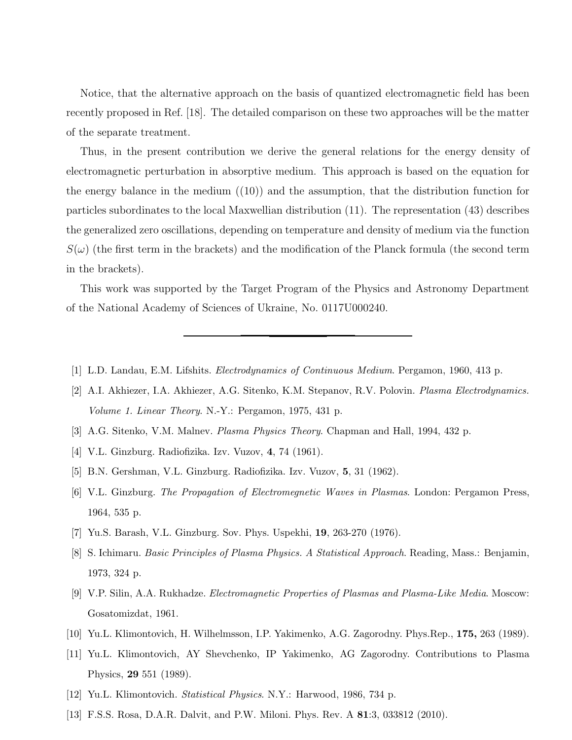Notice, that the alternative approach on the basis of quantized electromagnetic field has been recently proposed in Ref. [18]. The detailed comparison on these two approaches will be the matter of the separate treatment.

Thus, in the present contribution we derive the general relations for the energy density of electromagnetic perturbation in absorptive medium. This approach is based on the equation for the energy balance in the medium  $(10)$  and the assumption, that the distribution function for particles subordinates to the local Maxwellian distribution (11). The representation (43) describes the generalized zero oscillations, depending on temperature and density of medium via the function  $S(\omega)$  (the first term in the brackets) and the modification of the Planck formula (the second term in the brackets).

This work was supported by the Target Program of the Physics and Astronomy Department of the National Academy of Sciences of Ukraine, No. 0117U000240.

- [1] L.D. Landau, E.M. Lifshits. Electrodynamics of Continuous Medium. Pergamon, 1960, 413 p.
- [2] A.I. Akhiezer, I.A. Akhiezer, A.G. Sitenko, K.M. Stepanov, R.V. Polovin. Plasma Electrodynamics. Volume 1. Linear Theory. N.-Y.: Pergamon, 1975, 431 p.
- [3] A.G. Sitenko, V.M. Malnev. Plasma Physics Theory. Chapman and Hall, 1994, 432 p.
- [4] V.L. Ginzburg. Radiofizika. Izv. Vuzov, 4, 74 (1961).
- [5] B.N. Gershman, V.L. Ginzburg. Radiofizika. Izv. Vuzov, 5, 31 (1962).
- [6] V.L. Ginzburg. The Propagation of Electromegnetic Waves in Plasmas. London: Pergamon Press, 1964, 535 p.
- [7] Yu.S. Barash, V.L. Ginzburg. Sov. Phys. Uspekhi, 19, 263-270 (1976).
- [8] S. Ichimaru. Basic Principles of Plasma Physics. A Statistical Approach. Reading, Mass.: Benjamin, 1973, 324 p.
- [9] V.P. Silin, A.A. Rukhadze. Electromagnetic Properties of Plasmas and Plasma-Like Media. Moscow: Gosatomizdat, 1961.
- [10] Yu.L. Klimontovich, H. Wilhelmsson, I.P. Yakimenko, A.G. Zagorodny. Phys.Rep., 175, 263 (1989).
- [11] Yu.L. Klimontovich, AY Shevchenko, IP Yakimenko, AG Zagorodny. Contributions to Plasma Physics, 29 551 (1989).
- [12] Yu.L. Klimontovich. Statistical Physics. N.Y.: Harwood, 1986, 734 p.
- [13] F.S.S. Rosa, D.A.R. Dalvit, and P.W. Miloni. Phys. Rev. A 81:3, 033812 (2010).